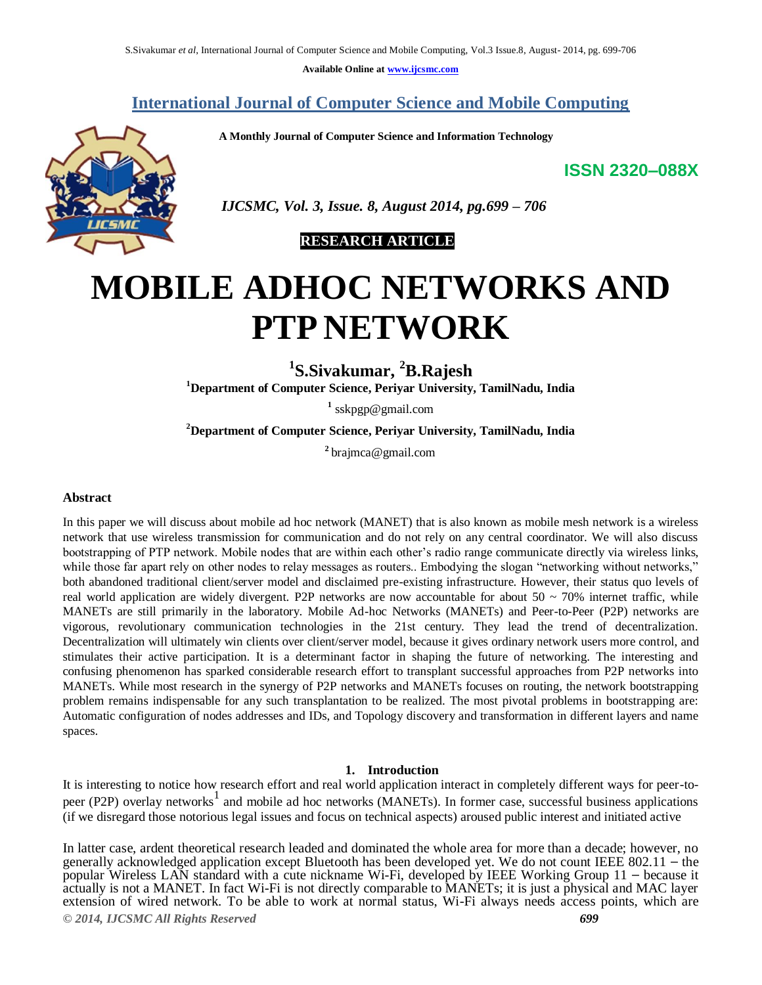**Available Online at www.ijcsmc.com**

# **International Journal of Computer Science and Mobile Computing**

 **A Monthly Journal of Computer Science and Information Technology**

**ISSN 2320–088X**



 *IJCSMC, Vol. 3, Issue. 8, August 2014, pg.699 – 706*

# **RESEARCH ARTICLE**

# **MOBILE ADHOC NETWORKS AND PTP NETWORK**

**1 S.Sivakumar, <sup>2</sup>B.Rajesh**

**<sup>1</sup>Department of Computer Science, Periyar University, TamilNadu, India**

**1** sskpgp@gmail.com

**<sup>2</sup>Department of Computer Science, Periyar University, TamilNadu, India**

**2** brajmca@gmail.com

#### **Abstract**

In this paper we will discuss about mobile ad hoc network (MANET) that is also known as mobile mesh network is a wireless network that use wireless transmission for communication and do not rely on any central coordinator. We will also discuss bootstrapping of PTP network. Mobile nodes that are within each other's radio range communicate directly via wireless links, while those far apart rely on other nodes to relay messages as routers.. Embodying the slogan "networking without networks," both abandoned traditional client/server model and disclaimed pre-existing infrastructure. However, their status quo levels of real world application are widely divergent. P2P networks are now accountable for about  $50 \sim 70\%$  internet traffic, while MANETs are still primarily in the laboratory. Mobile Ad-hoc Networks (MANETs) and Peer-to-Peer (P2P) networks are vigorous, revolutionary communication technologies in the 21st century. They lead the trend of decentralization. Decentralization will ultimately win clients over client/server model, because it gives ordinary network users more control, and stimulates their active participation. It is a determinant factor in shaping the future of networking. The interesting and confusing phenomenon has sparked considerable research effort to transplant successful approaches from P2P networks into MANETs. While most research in the synergy of P2P networks and MANETs focuses on routing, the network bootstrapping problem remains indispensable for any such transplantation to be realized. The most pivotal problems in bootstrapping are: Automatic configuration of nodes addresses and IDs, and Topology discovery and transformation in different layers and name spaces.

#### **1. Introduction**

It is interesting to notice how research effort and real world application interact in completely different ways for peer-topeer (P2P) overlay networks<sup>1</sup> and mobile ad hoc networks (MANETs). In former case, successful business applications (if we disregard those notorious legal issues and focus on technical aspects) aroused public interest and initiated active

In latter case, ardent theoretical research leaded and dominated the whole area for more than a decade; however, no generally acknowledged application except Bluetooth has been developed yet. We do not count IEEE 802.11 - the popular Wireless LAN standard with a cute nickname Wi-Fi, developed by IEEE Working Group 11 – because it actually is not a MANET. In fact Wi-Fi is not directly comparable to MANETs; it is just a physical and MAC layer extension of wired network. To be able to work at normal status, Wi-Fi always needs access points, which are

*© 2014, IJCSMC All Rights Reserved 699*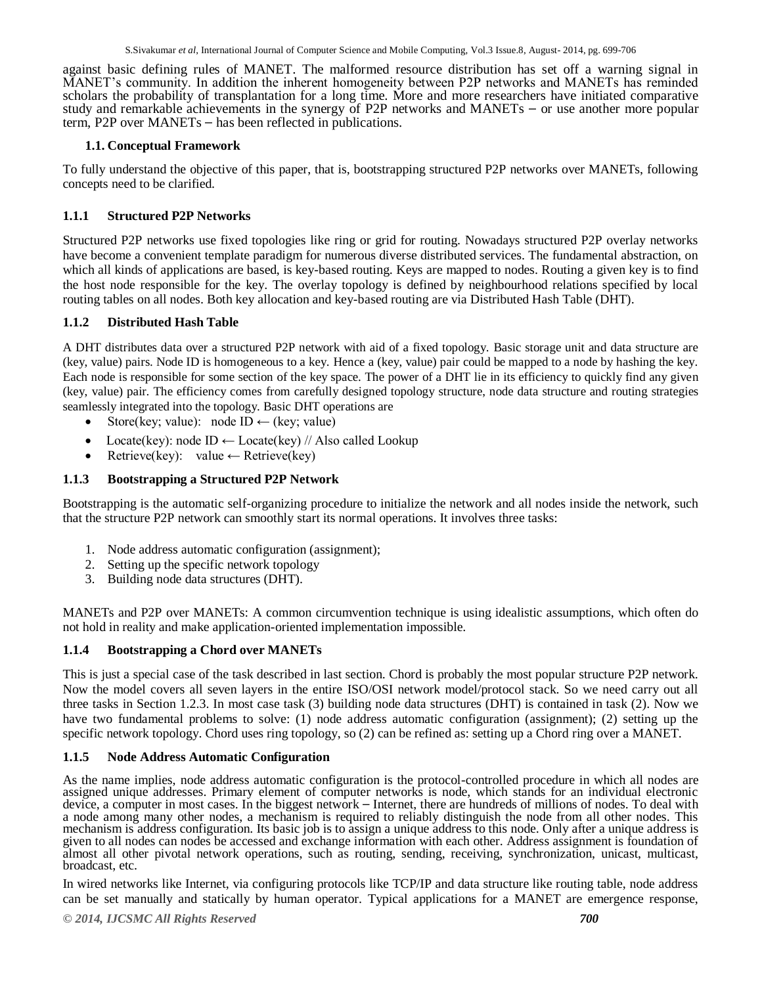against basic defining rules of MANET. The malformed resource distribution has set off a warning signal in MANET's community. In addition the inherent homogeneity between P2P networks and MANETs has reminded scholars the probability of transplantation for a long time. More and more researchers have initiated comparative study and remarkable achievements in the synergy of P2P networks and MANETs – or use another more popular term, P2P over MANETs – has been reflected in publications.

## **1.1. Conceptual Framework**

To fully understand the objective of this paper, that is, bootstrapping structured P2P networks over MANETs, following concepts need to be clarified.

# **1.1.1 Structured P2P Networks**

Structured P2P networks use fixed topologies like ring or grid for routing. Nowadays structured P2P overlay networks have become a convenient template paradigm for numerous diverse distributed services. The fundamental abstraction, on which all kinds of applications are based, is key-based routing. Keys are mapped to nodes. Routing a given key is to find the host node responsible for the key. The overlay topology is defined by neighbourhood relations specified by local routing tables on all nodes. Both key allocation and key-based routing are via Distributed Hash Table (DHT).

# **1.1.2 Distributed Hash Table**

A DHT distributes data over a structured P2P network with aid of a fixed topology. Basic storage unit and data structure are (key, value) pairs. Node ID is homogeneous to a key. Hence a (key, value) pair could be mapped to a node by hashing the key. Each node is responsible for some section of the key space. The power of a DHT lie in its efficiency to quickly find any given (key, value) pair. The efficiency comes from carefully designed topology structure, node data structure and routing strategies seamlessly integrated into the topology. Basic DHT operations are

- Store(key; value): node ID  $\leftarrow$  (key; value)
- Locate(key): node ID  $\leftarrow$  Locate(key) // Also called Lookup
- Retrieve(key): value  $\leftarrow$  Retrieve(key)

# **1.1.3 Bootstrapping a Structured P2P Network**

Bootstrapping is the automatic self-organizing procedure to initialize the network and all nodes inside the network, such that the structure P2P network can smoothly start its normal operations. It involves three tasks:

- 1. Node address automatic configuration (assignment);
- 2. Setting up the specific network topology
- 3. Building node data structures (DHT).

MANETs and P2P over MANETs: A common circumvention technique is using idealistic assumptions, which often do not hold in reality and make application-oriented implementation impossible.

#### **1.1.4 Bootstrapping a Chord over MANETs**

This is just a special case of the task described in last section. Chord is probably the most popular structure P2P network. Now the model covers all seven layers in the entire ISO/OSI network model/protocol stack. So we need carry out all three tasks in Section 1.2.3. In most case task (3) building node data structures (DHT) is contained in task (2). Now we have two fundamental problems to solve: (1) node address automatic configuration (assignment); (2) setting up the specific network topology. Chord uses ring topology, so (2) can be refined as: setting up a Chord ring over a MANET.

#### **1.1.5 Node Address Automatic Configuration**

As the name implies, node address automatic configuration is the protocol-controlled procedure in which all nodes are assigned unique addresses. Primary element of computer networks is node, which stands for an individual electronic device, a computer in most cases. In the biggest network - Internet, there are hundreds of millions of nodes. To deal with a node among many other nodes, a mechanism is required to reliably distinguish the node from all other nodes. This mechanism is address configuration. Its basic job is to assign a unique address to this node. Only after a unique address is given to all nodes can nodes be accessed and exchange information with each other. Address assignment is foundation of almost all other pivotal network operations, such as routing, sending, receiving, synchronization, unicast, multicast, broadcast, etc.

In wired networks like Internet, via configuring protocols like TCP/IP and data structure like routing table, node address can be set manually and statically by human operator. Typical applications for a MANET are emergence response,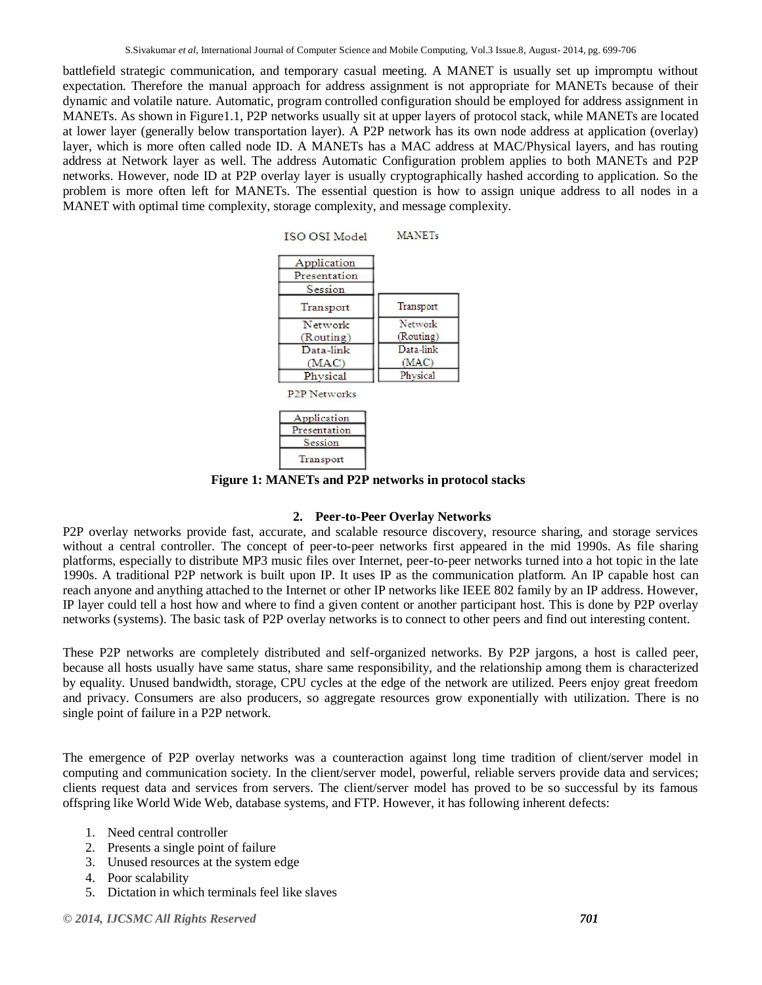battlefield strategic communication, and temporary casual meeting. A MANET is usually set up impromptu without expectation. Therefore the manual approach for address assignment is not appropriate for MANETs because of their dynamic and volatile nature. Automatic, program controlled configuration should be employed for address assignment in MANETs. As shown in Figure1.1, P2P networks usually sit at upper layers of protocol stack, while MANETs are located at lower layer (generally below transportation layer). A P2P network has its own node address at application (overlay) layer, which is more often called node ID. A MANETs has a MAC address at MAC/Physical layers, and has routing address at Network layer as well. The address Automatic Configuration problem applies to both MANETs and P2P networks. However, node ID at P2P overlay layer is usually cryptographically hashed according to application. So the problem is more often left for MANETs. The essential question is how to assign unique address to all nodes in a MANET with optimal time complexity, storage complexity, and message complexity.



**P2P Networks** 

| Application  |  |
|--------------|--|
| Presentation |  |
| Session      |  |
| Transport    |  |

**Figure 1: MANETs and P2P networks in protocol stacks**

#### **2. Peer-to-Peer Overlay Networks**

P2P overlay networks provide fast, accurate, and scalable resource discovery, resource sharing, and storage services without a central controller. The concept of peer-to-peer networks first appeared in the mid 1990s. As file sharing platforms, especially to distribute MP3 music files over Internet, peer-to-peer networks turned into a hot topic in the late 1990s. A traditional P2P network is built upon IP. It uses IP as the communication platform. An IP capable host can reach anyone and anything attached to the Internet or other IP networks like IEEE 802 family by an IP address. However, IP layer could tell a host how and where to find a given content or another participant host. This is done by P2P overlay networks (systems). The basic task of P2P overlay networks is to connect to other peers and find out interesting content.

These P2P networks are completely distributed and self-organized networks. By P2P jargons, a host is called peer, because all hosts usually have same status, share same responsibility, and the relationship among them is characterized by equality. Unused bandwidth, storage, CPU cycles at the edge of the network are utilized. Peers enjoy great freedom and privacy. Consumers are also producers, so aggregate resources grow exponentially with utilization. There is no single point of failure in a P2P network.

The emergence of P2P overlay networks was a counteraction against long time tradition of client/server model in computing and communication society. In the client/server model, powerful, reliable servers provide data and services; clients request data and services from servers. The client/server model has proved to be so successful by its famous offspring like World Wide Web, database systems, and FTP. However, it has following inherent defects:

- 1. Need central controller
- 2. Presents a single point of failure
- 3. Unused resources at the system edge
- 4. Poor scalability
- 5. Dictation in which terminals feel like slaves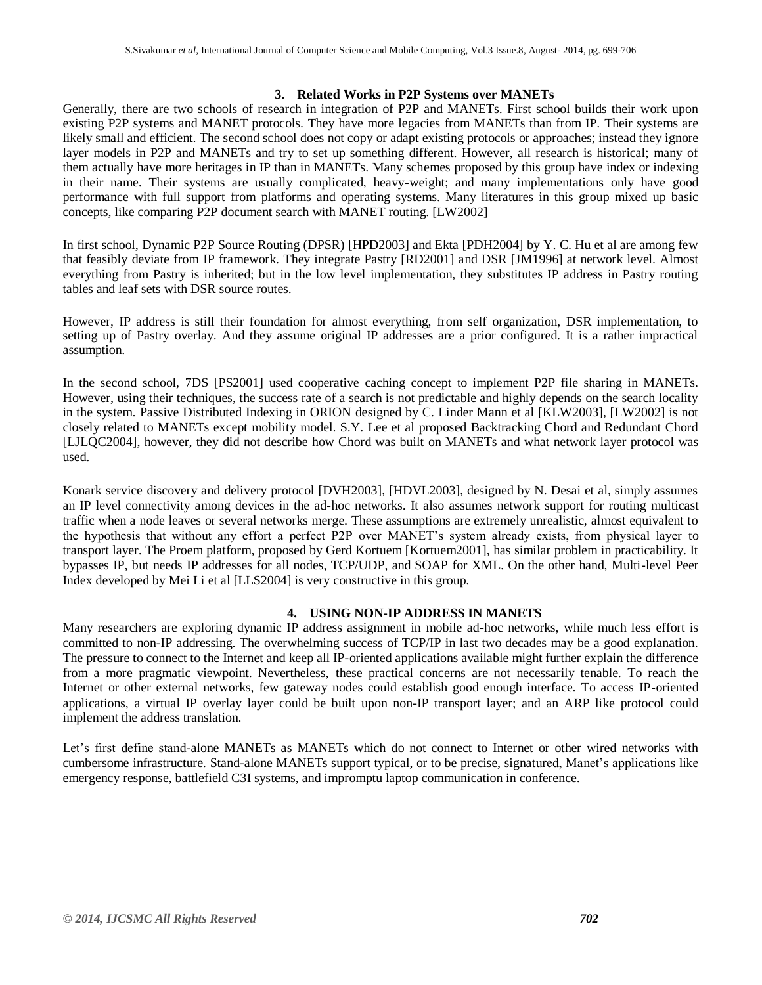#### **3. Related Works in P2P Systems over MANETs**

Generally, there are two schools of research in integration of P2P and MANETs. First school builds their work upon existing P2P systems and MANET protocols. They have more legacies from MANETs than from IP. Their systems are likely small and efficient. The second school does not copy or adapt existing protocols or approaches; instead they ignore layer models in P2P and MANETs and try to set up something different. However, all research is historical; many of them actually have more heritages in IP than in MANETs. Many schemes proposed by this group have index or indexing in their name. Their systems are usually complicated, heavy-weight; and many implementations only have good performance with full support from platforms and operating systems. Many literatures in this group mixed up basic concepts, like comparing P2P document search with MANET routing. [LW2002]

In first school, Dynamic P2P Source Routing (DPSR) [HPD2003] and Ekta [PDH2004] by Y. C. Hu et al are among few that feasibly deviate from IP framework. They integrate Pastry [RD2001] and DSR [JM1996] at network level. Almost everything from Pastry is inherited; but in the low level implementation, they substitutes IP address in Pastry routing tables and leaf sets with DSR source routes.

However, IP address is still their foundation for almost everything, from self organization, DSR implementation, to setting up of Pastry overlay. And they assume original IP addresses are a prior configured. It is a rather impractical assumption.

In the second school, 7DS [PS2001] used cooperative caching concept to implement P2P file sharing in MANETs. However, using their techniques, the success rate of a search is not predictable and highly depends on the search locality in the system. Passive Distributed Indexing in ORION designed by C. Linder Mann et al [KLW2003], [LW2002] is not closely related to MANETs except mobility model. S.Y. Lee et al proposed Backtracking Chord and Redundant Chord [LJLQC2004], however, they did not describe how Chord was built on MANETs and what network layer protocol was used.

Konark service discovery and delivery protocol [DVH2003], [HDVL2003], designed by N. Desai et al, simply assumes an IP level connectivity among devices in the ad-hoc networks. It also assumes network support for routing multicast traffic when a node leaves or several networks merge. These assumptions are extremely unrealistic, almost equivalent to the hypothesis that without any effort a perfect P2P over MANET's system already exists, from physical layer to transport layer. The Proem platform, proposed by Gerd Kortuem [Kortuem2001], has similar problem in practicability. It bypasses IP, but needs IP addresses for all nodes, TCP/UDP, and SOAP for XML. On the other hand, Multi-level Peer Index developed by Mei Li et al [LLS2004] is very constructive in this group.

#### **4. USING NON-IP ADDRESS IN MANETS**

Many researchers are exploring dynamic IP address assignment in mobile ad-hoc networks, while much less effort is committed to non-IP addressing. The overwhelming success of TCP/IP in last two decades may be a good explanation. The pressure to connect to the Internet and keep all IP-oriented applications available might further explain the difference from a more pragmatic viewpoint. Nevertheless, these practical concerns are not necessarily tenable. To reach the Internet or other external networks, few gateway nodes could establish good enough interface. To access IP-oriented applications, a virtual IP overlay layer could be built upon non-IP transport layer; and an ARP like protocol could implement the address translation.

Let's first define stand-alone MANETs as MANETs which do not connect to Internet or other wired networks with cumbersome infrastructure. Stand-alone MANETs support typical, or to be precise, signatured, Manet's applications like emergency response, battlefield C3I systems, and impromptu laptop communication in conference.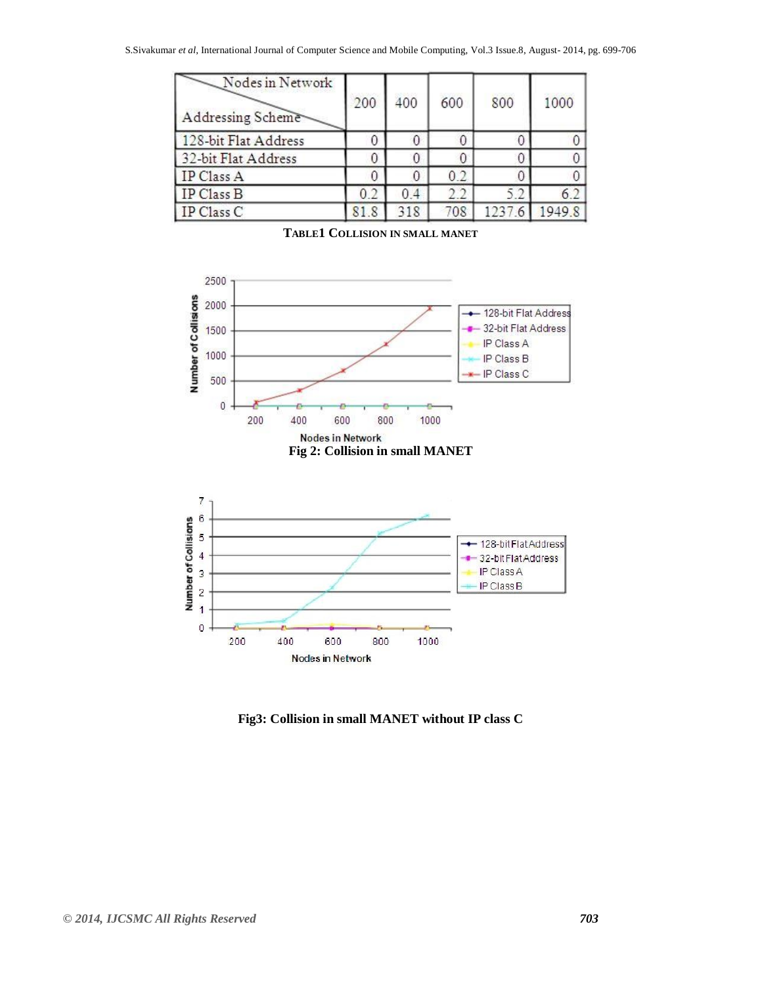| Nodes in Network<br>Addressing Scheme | 200  | 400 | 600 | 800    | 1000  |
|---------------------------------------|------|-----|-----|--------|-------|
| 128-bit Flat Address                  |      | 0   |     |        |       |
| 32-bit Flat Address                   |      | 0   |     |        |       |
| IP Class A                            |      | 0   | 0.2 |        |       |
| IP Class B                            | 0.2  | 0.4 | 2.2 | 5.2    |       |
| IP Class C                            | 81.8 | 318 | 708 | 1237.6 | 19498 |



**TABLE1 COLLISION IN SMALL MANET**

**Fig3: Collision in small MANET without IP class C**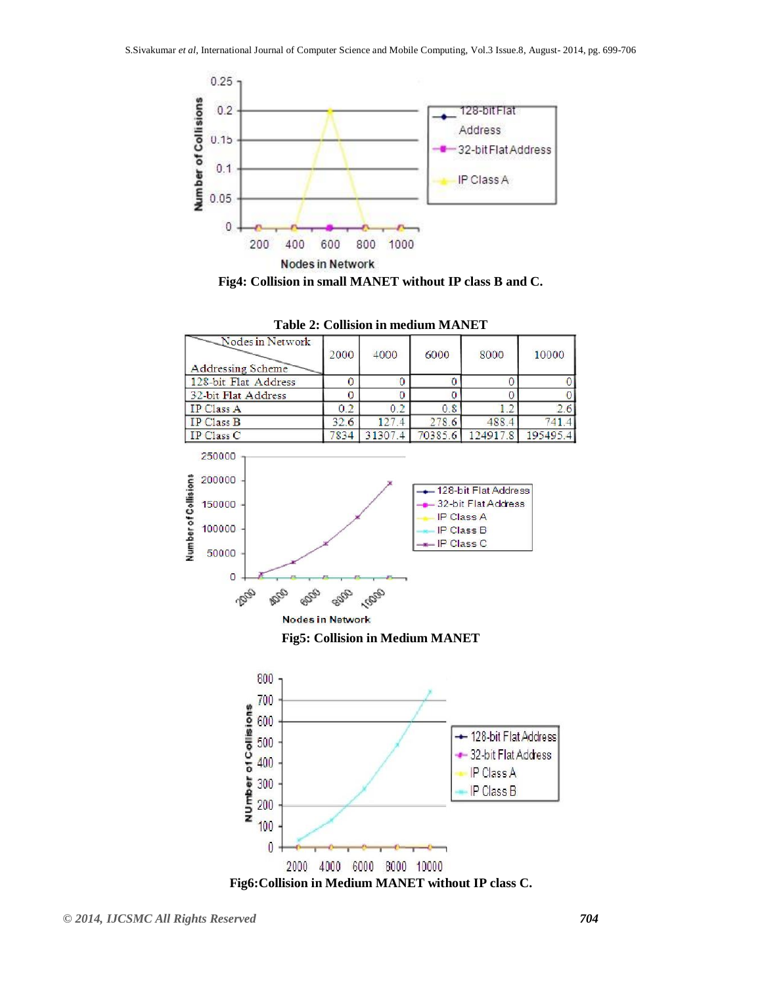

**Fig4: Collision in small MANET without IP class B and C.**



**Table 2: Collision in medium MANET**



**Fig6:Collision in Medium MANET without IP class C.**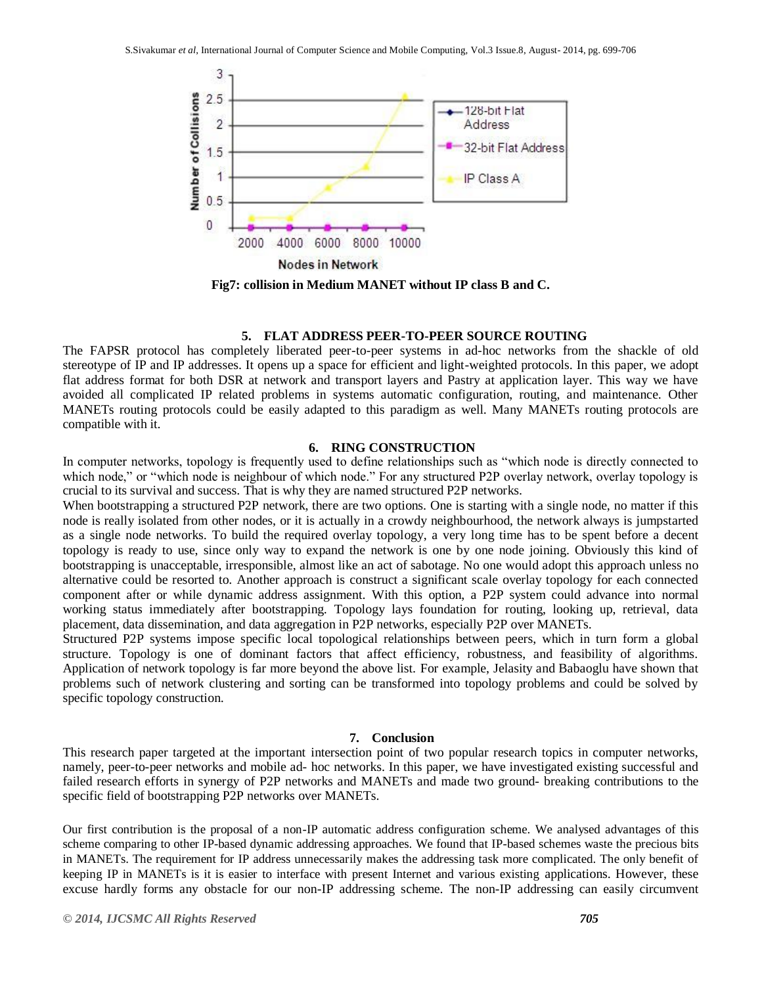

#### **5. FLAT ADDRESS PEER-TO-PEER SOURCE ROUTING**

The FAPSR protocol has completely liberated peer-to-peer systems in ad-hoc networks from the shackle of old stereotype of IP and IP addresses. It opens up a space for efficient and light-weighted protocols. In this paper, we adopt flat address format for both DSR at network and transport layers and Pastry at application layer. This way we have avoided all complicated IP related problems in systems automatic configuration, routing, and maintenance. Other MANETs routing protocols could be easily adapted to this paradigm as well. Many MANETs routing protocols are compatible with it.

## **6. RING CONSTRUCTION**

In computer networks, topology is frequently used to define relationships such as "which node is directly connected to which node," or "which node is neighbour of which node." For any structured P2P overlay network, overlay topology is crucial to its survival and success. That is why they are named structured P2P networks.

When bootstrapping a structured P2P network, there are two options. One is starting with a single node, no matter if this node is really isolated from other nodes, or it is actually in a crowdy neighbourhood, the network always is jumpstarted as a single node networks. To build the required overlay topology, a very long time has to be spent before a decent topology is ready to use, since only way to expand the network is one by one node joining. Obviously this kind of bootstrapping is unacceptable, irresponsible, almost like an act of sabotage. No one would adopt this approach unless no alternative could be resorted to. Another approach is construct a significant scale overlay topology for each connected component after or while dynamic address assignment. With this option, a P2P system could advance into normal working status immediately after bootstrapping. Topology lays foundation for routing, looking up, retrieval, data placement, data dissemination, and data aggregation in P2P networks, especially P2P over MANETs.

Structured P2P systems impose specific local topological relationships between peers, which in turn form a global structure. Topology is one of dominant factors that affect efficiency, robustness, and feasibility of algorithms. Application of network topology is far more beyond the above list. For example, Jelasity and Babaoglu have shown that problems such of network clustering and sorting can be transformed into topology problems and could be solved by specific topology construction.

#### **7. Conclusion**

This research paper targeted at the important intersection point of two popular research topics in computer networks, namely, peer-to-peer networks and mobile ad- hoc networks. In this paper, we have investigated existing successful and failed research efforts in synergy of P2P networks and MANETs and made two ground- breaking contributions to the specific field of bootstrapping P2P networks over MANETs.

Our first contribution is the proposal of a non-IP automatic address configuration scheme. We analysed advantages of this scheme comparing to other IP-based dynamic addressing approaches. We found that IP-based schemes waste the precious bits in MANETs. The requirement for IP address unnecessarily makes the addressing task more complicated. The only benefit of keeping IP in MANETs is it is easier to interface with present Internet and various existing applications. However, these excuse hardly forms any obstacle for our non-IP addressing scheme. The non-IP addressing can easily circumvent